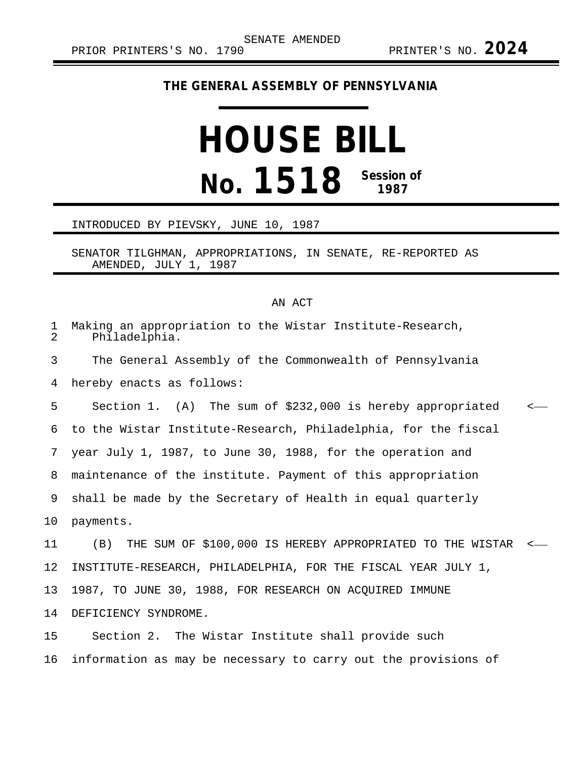## **THE GENERAL ASSEMBLY OF PENNSYLVANIA**

## **HOUSE BILL No. 1518 Session of 1987**

## INTRODUCED BY PIEVSKY, JUNE 10, 1987

SENATOR TILGHMAN, APPROPRIATIONS, IN SENATE, RE-REPORTED AS AMENDED, JULY 1, 1987

## AN ACT

| $\mathbf{1}$<br>2 | Making an appropriation to the Wistar Institute-Research,<br>Philadelphia. |               |
|-------------------|----------------------------------------------------------------------------|---------------|
| 3                 | The General Assembly of the Commonwealth of Pennsylvania                   |               |
| 4                 | hereby enacts as follows:                                                  |               |
| 5                 | Section 1. (A) The sum of \$232,000 is hereby appropriated                 | $\leftarrow$  |
| 6                 | to the Wistar Institute-Research, Philadelphia, for the fiscal             |               |
| 7                 | year July 1, 1987, to June 30, 1988, for the operation and                 |               |
| 8                 | maintenance of the institute. Payment of this appropriation                |               |
| 9                 | shall be made by the Secretary of Health in equal quarterly                |               |
| 10 <sub>1</sub>   | payments.                                                                  |               |
| 11                | (B) THE SUM OF \$100,000 IS HEREBY APPROPRIATED TO THE WISTAR              | $\sim$ $\sim$ |
| 12                | INSTITUTE-RESEARCH, PHILADELPHIA, FOR THE FISCAL YEAR JULY 1,              |               |
| 13 <sup>°</sup>   | 1987, TO JUNE 30, 1988, FOR RESEARCH ON ACQUIRED IMMUNE                    |               |
| 14                | DEFICIENCY SYNDROME.                                                       |               |
| 15                | Section 2. The Wistar Institute shall provide such                         |               |

16 information as may be necessary to carry out the provisions of